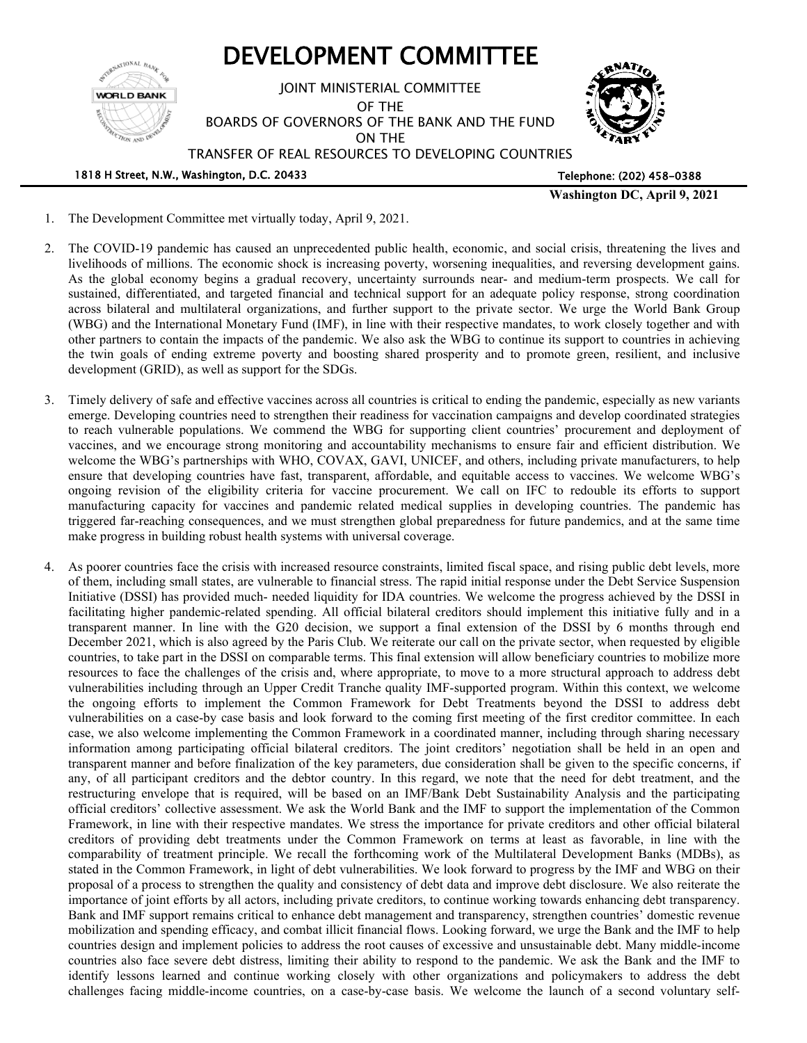

- 1. The Development Committee met virtually today, April 9, 2021.
- 2. The COVID-19 pandemic has caused an unprecedented public health, economic, and social crisis, threatening the lives and livelihoods of millions. The economic shock is increasing poverty, worsening inequalities, and reversing development gains. As the global economy begins a gradual recovery, uncertainty surrounds near- and medium-term prospects. We call for sustained, differentiated, and targeted financial and technical support for an adequate policy response, strong coordination across bilateral and multilateral organizations, and further support to the private sector. We urge the World Bank Group (WBG) and the International Monetary Fund (IMF), in line with their respective mandates, to work closely together and with other partners to contain the impacts of the pandemic. We also ask the WBG to continue its support to countries in achieving the twin goals of ending extreme poverty and boosting shared prosperity and to promote green, resilient, and inclusive development (GRID), as well as support for the SDGs.
- 3. Timely delivery of safe and effective vaccines across all countries is critical to ending the pandemic, especially as new variants emerge. Developing countries need to strengthen their readiness for vaccination campaigns and develop coordinated strategies to reach vulnerable populations. We commend the WBG for supporting client countries' procurement and deployment of vaccines, and we encourage strong monitoring and accountability mechanisms to ensure fair and efficient distribution. We welcome the WBG's partnerships with WHO, COVAX, GAVI, UNICEF, and others, including private manufacturers, to help ensure that developing countries have fast, transparent, affordable, and equitable access to vaccines. We welcome WBG's ongoing revision of the eligibility criteria for vaccine procurement. We call on IFC to redouble its efforts to support manufacturing capacity for vaccines and pandemic related medical supplies in developing countries. The pandemic has triggered far-reaching consequences, and we must strengthen global preparedness for future pandemics, and at the same time make progress in building robust health systems with universal coverage.
- 4. As poorer countries face the crisis with increased resource constraints, limited fiscal space, and rising public debt levels, more of them, including small states, are vulnerable to financial stress. The rapid initial response under the Debt Service Suspension Initiative (DSSI) has provided much- needed liquidity for IDA countries. We welcome the progress achieved by the DSSI in facilitating higher pandemic-related spending. All official bilateral creditors should implement this initiative fully and in a transparent manner. In line with the G20 decision, we support a final extension of the DSSI by 6 months through end December 2021, which is also agreed by the Paris Club. We reiterate our call on the private sector, when requested by eligible countries, to take part in the DSSI on comparable terms. This final extension will allow beneficiary countries to mobilize more resources to face the challenges of the crisis and, where appropriate, to move to a more structural approach to address debt vulnerabilities including through an Upper Credit Tranche quality IMF-supported program. Within this context, we welcome the ongoing efforts to implement the Common Framework for Debt Treatments beyond the DSSI to address debt vulnerabilities on a case-by case basis and look forward to the coming first meeting of the first creditor committee. In each case, we also welcome implementing the Common Framework in a coordinated manner, including through sharing necessary information among participating official bilateral creditors. The joint creditors' negotiation shall be held in an open and transparent manner and before finalization of the key parameters, due consideration shall be given to the specific concerns, if any, of all participant creditors and the debtor country. In this regard, we note that the need for debt treatment, and the restructuring envelope that is required, will be based on an IMF/Bank Debt Sustainability Analysis and the participating official creditors' collective assessment. We ask the World Bank and the IMF to support the implementation of the Common Framework, in line with their respective mandates. We stress the importance for private creditors and other official bilateral creditors of providing debt treatments under the Common Framework on terms at least as favorable, in line with the comparability of treatment principle. We recall the forthcoming work of the Multilateral Development Banks (MDBs), as stated in the Common Framework, in light of debt vulnerabilities. We look forward to progress by the IMF and WBG on their proposal of a process to strengthen the quality and consistency of debt data and improve debt disclosure. We also reiterate the importance of joint efforts by all actors, including private creditors, to continue working towards enhancing debt transparency. Bank and IMF support remains critical to enhance debt management and transparency, strengthen countries' domestic revenue mobilization and spending efficacy, and combat illicit financial flows. Looking forward, we urge the Bank and the IMF to help countries design and implement policies to address the root causes of excessive and unsustainable debt. Many middle-income countries also face severe debt distress, limiting their ability to respond to the pandemic. We ask the Bank and the IMF to identify lessons learned and continue working closely with other organizations and policymakers to address the debt challenges facing middle-income countries, on a case-by-case basis. We welcome the launch of a second voluntary self-